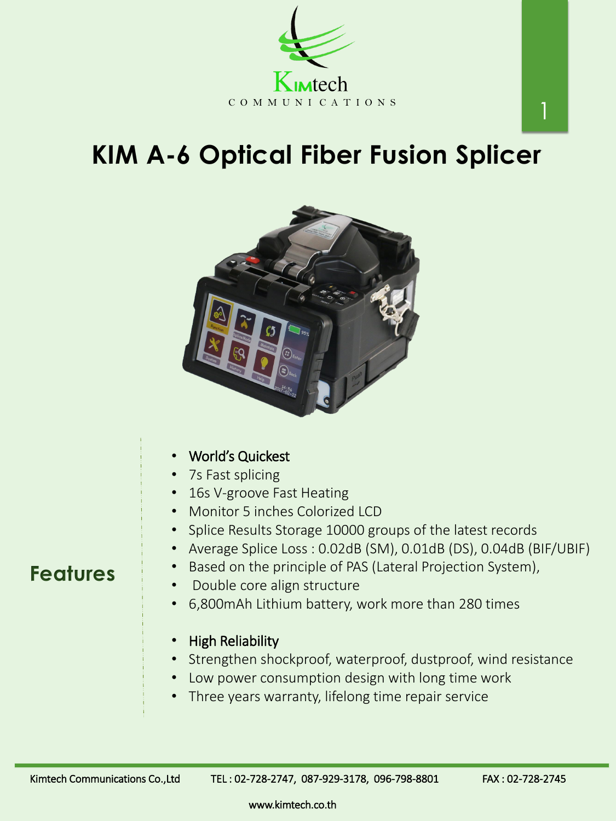# **KIM A-6 Optical Fiber Fusion Splicer**





### **Features**

Based on the principle of PAS (Lateral Projection System),

www.kimtech.co.th

1

- Double core align structure
- 6,800mAh Lithium battery, work more than 280 times
- High Reliability
- Strengthen shockproof, waterproof, dustproof, wind resistance
- Low power consumption design with long time work
- Three years warranty, lifelong time repair service

Kimtech Communications Co.,Ltd TEL: 02-728-2747, 087-929-3178, 096-798-8801 FAX: 02-728-2745

- World's Quickest
- 7s Fast splicing
- 16s V-groove Fast Heating
- Monitor 5 inches Colorized LCD
- Splice Results Storage 10000 groups of the latest records
- Average Splice Loss : 0.02dB (SM), 0.01dB (DS), 0.04dB (BIF/UBIF)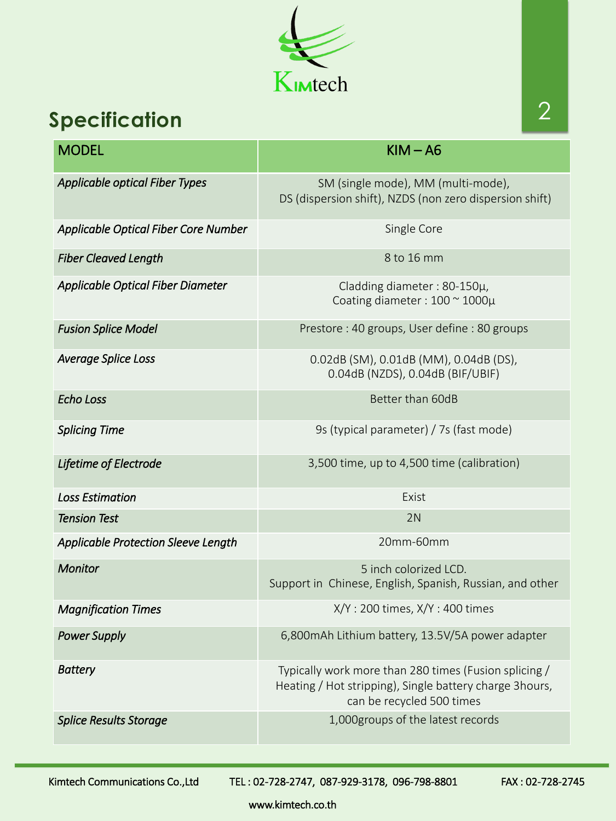www.kimtech.co.th



## **Specification**

| <b>MODEL</b>                          | $KIM - A6$                                                                                                                                    |
|---------------------------------------|-----------------------------------------------------------------------------------------------------------------------------------------------|
| <b>Applicable optical Fiber Types</b> | SM (single mode), MM (multi-mode),<br>DS (dispersion shift), NZDS (non zero dispersion shift)                                                 |
| Applicable Optical Fiber Core Number  | Single Core                                                                                                                                   |
| <b>Fiber Cleaved Length</b>           | 8 to 16 mm                                                                                                                                    |
| Applicable Optical Fiber Diameter     | Cladding diameter : $80-150\mu$ ,<br>Coating diameter : $100 \approx 1000 \mu$                                                                |
| <b>Fusion Splice Model</b>            | Prestore: 40 groups, User define: 80 groups                                                                                                   |
| <b>Average Splice Loss</b>            | 0.02dB (SM), 0.01dB (MM), 0.04dB (DS),<br>0.04dB (NZDS), 0.04dB (BIF/UBIF)                                                                    |
| Echo Loss                             | Better than 60dB                                                                                                                              |
| <b>Splicing Time</b>                  | 9s (typical parameter) / 7s (fast mode)                                                                                                       |
| Lifetime of Electrode                 | 3,500 time, up to 4,500 time (calibration)                                                                                                    |
| <b>Loss Estimation</b>                | Exist                                                                                                                                         |
| <b>Tension Test</b>                   | 2N                                                                                                                                            |
| Applicable Protection Sleeve Length   | 20mm-60mm                                                                                                                                     |
| <b>Monitor</b>                        | 5 inch colorized LCD.<br>Support in Chinese, English, Spanish, Russian, and other                                                             |
| <b>Magnification Times</b>            | X/Y: 200 times, X/Y: 400 times                                                                                                                |
| <b>Power Supply</b>                   | 6,800mAh Lithium battery, 13.5V/5A power adapter                                                                                              |
| <b>Battery</b>                        | Typically work more than 280 times (Fusion splicing /<br>Heating / Hot stripping), Single battery charge 3hours,<br>can be recycled 500 times |
| <b>Splice Results Storage</b>         | 1,000groups of the latest records                                                                                                             |

Kimtech Communications Co.,Ltd TEL: 02-728-2747, 087-929-3178, 096-798-8801 FAX: 02-728-2745